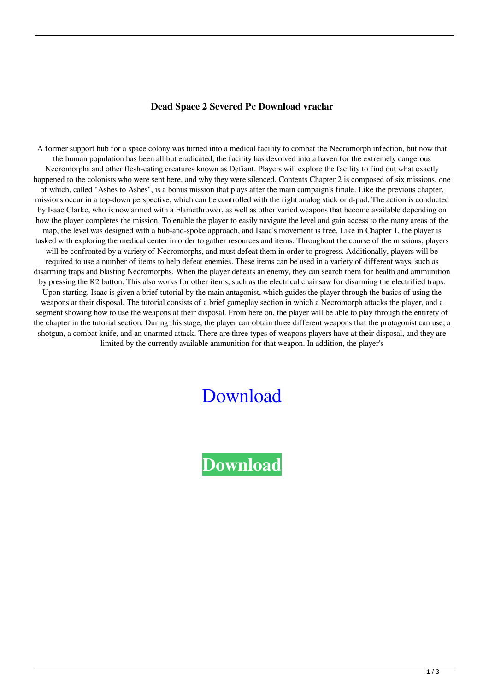## **Dead Space 2 Severed Pc Download vraclar**

A former support hub for a space colony was turned into a medical facility to combat the Necromorph infection, but now that the human population has been all but eradicated, the facility has devolved into a haven for the extremely dangerous Necromorphs and other flesh-eating creatures known as Defiant. Players will explore the facility to find out what exactly happened to the colonists who were sent here, and why they were silenced. Contents Chapter 2 is composed of six missions, one of which, called "Ashes to Ashes", is a bonus mission that plays after the main campaign's finale. Like the previous chapter, missions occur in a top-down perspective, which can be controlled with the right analog stick or d-pad. The action is conducted by Isaac Clarke, who is now armed with a Flamethrower, as well as other varied weapons that become available depending on how the player completes the mission. To enable the player to easily navigate the level and gain access to the many areas of the map, the level was designed with a hub-and-spoke approach, and Isaac's movement is free. Like in Chapter 1, the player is tasked with exploring the medical center in order to gather resources and items. Throughout the course of the missions, players will be confronted by a variety of Necromorphs, and must defeat them in order to progress. Additionally, players will be required to use a number of items to help defeat enemies. These items can be used in a variety of different ways, such as disarming traps and blasting Necromorphs. When the player defeats an enemy, they can search them for health and ammunition by pressing the R2 button. This also works for other items, such as the electrical chainsaw for disarming the electrified traps. Upon starting, Isaac is given a brief tutorial by the main antagonist, which guides the player through the basics of using the weapons at their disposal. The tutorial consists of a brief gameplay section in which a Necromorph attacks the player, and a segment showing how to use the weapons at their disposal. From here on, the player will be able to play through the entirety of the chapter in the tutorial section. During this stage, the player can obtain three different weapons that the protagonist can use; a shotgun, a combat knife, and an unarmed attack. There are three types of weapons players have at their disposal, and they are limited by the currently available ammunition for that weapon. In addition, the player's

## [Download](http://evacdir.com/RGVhZCBTcGFjZSAyIFNldmVyZWQgUGMgRG93bmxvYWQRGV/aborting/begaining.fuser.crimpers.ZG93bmxvYWR8YUUzWXpCMWZId3hOalV5TkRZek1EVXdmSHd5TlRjMGZId29UU2tnY21WaFpDMWliRzluSUZ0R1lYTjBJRWRGVGww.jhajjar./)

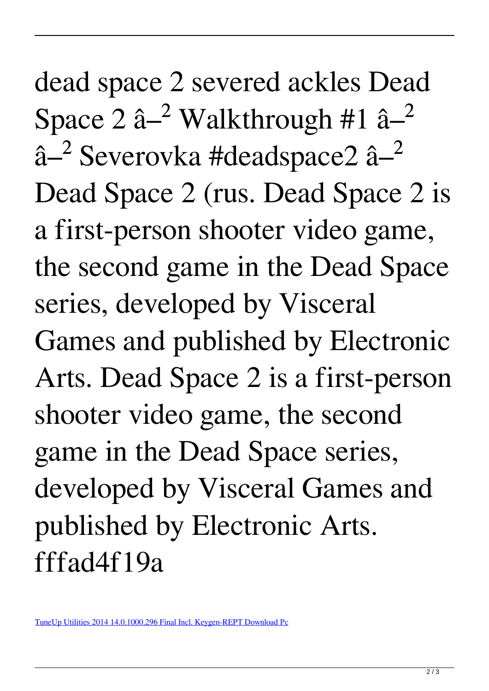dead space 2 severed ackles Dead Space  $2 \hat{a}^{-2}$  Walkthrough #1  $\hat{a}^{-2}$ â–² Severovka #deadspace2 â–² Dead Space 2 (rus. Dead Space 2 is a first-person shooter video game, the second game in the Dead Space series, developed by Visceral Games and published by Electronic Arts. Dead Space 2 is a first-person shooter video game, the second game in the Dead Space series, developed by Visceral Games and published by Electronic Arts. fffad4f19a